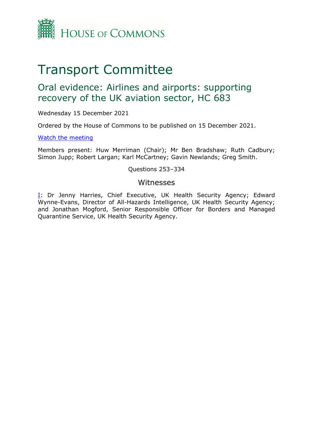

# Transport Committee

# Oral evidence: Airlines and airports: supporting recovery of the UK aviation sector, HC 683

Wednesday 15 December 2021

Ordered by the House of Commons to be published on 15 December 2021.

[Watch](https://www.parliamentlive.tv/Event/Index/8ebfb32e-f2d5-47ec-829a-24d5c5cc1af7) [the](https://www.parliamentlive.tv/Event/Index/8ebfb32e-f2d5-47ec-829a-24d5c5cc1af7) [meeting](https://www.parliamentlive.tv/Event/Index/8ebfb32e-f2d5-47ec-829a-24d5c5cc1af7)

Members present: Huw Merriman (Chair); Mr Ben Bradshaw; Ruth Cadbury; Simon Jupp; Robert Largan; Karl McCartney; Gavin Newlands; Greg Smith.

Questions 253–334

### Witnesses

[I:](#page-1-0) Dr Jenny Harries, Chief Executive, UK Health Security Agency; Edward Wynne-Evans, Director of All-Hazards Intelligence, UK Health Security Agency; and Jonathan Mogford, Senior Responsible Officer for Borders and Managed Quarantine Service, UK Health Security Agency.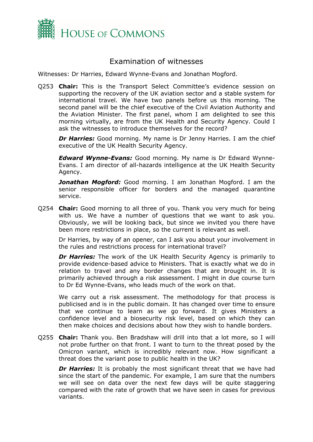

## <span id="page-1-0"></span>Examination of witnesses

Witnesses: Dr Harries, Edward Wynne-Evans and Jonathan Mogford.

Q253 **Chair:** This is the Transport Select Committee's evidence session on supporting the recovery of the UK aviation sector and a stable system for international travel. We have two panels before us this morning. The second panel will be the chief executive of the Civil Aviation Authority and the Aviation Minister. The first panel, whom I am delighted to see this morning virtually, are from the UK Health and Security Agency. Could I ask the witnesses to introduce themselves for the record?

**Dr Harries:** Good morning. My name is Dr Jenny Harries. I am the chief executive of the UK Health Security Agency.

*Edward Wynne-Evans:* Good morning. My name is Dr Edward Wynne-Evans. I am director of all-hazards intelligence at the UK Health Security Agency.

*Jonathan Mogford:* Good morning. I am Jonathan Mogford. I am the senior responsible officer for borders and the managed quarantine service.

Q254 **Chair:** Good morning to all three of you. Thank you very much for being with us. We have a number of questions that we want to ask you. Obviously, we will be looking back, but since we invited you there have been more restrictions in place, so the current is relevant as well.

Dr Harries, by way of an opener, can I ask you about your involvement in the rules and restrictions process for international travel?

**Dr Harries:** The work of the UK Health Security Agency is primarily to provide evidence-based advice to Ministers. That is exactly what we do in relation to travel and any border changes that are brought in. It is primarily achieved through a risk assessment. I might in due course turn to Dr Ed Wynne-Evans, who leads much of the work on that.

We carry out a risk assessment. The methodology for that process is publicised and is in the public domain. It has changed over time to ensure that we continue to learn as we go forward. It gives Ministers a confidence level and a biosecurity risk level, based on which they can then make choices and decisions about how they wish to handle borders.

Q255 **Chair:** Thank you. Ben Bradshaw will drill into that a lot more, so I will not probe further on that front. I want to turn to the threat posed by the Omicron variant, which is incredibly relevant now. How significant a threat does the variant pose to public health in the UK?

**Dr Harries:** It is probably the most significant threat that we have had since the start of the pandemic. For example, I am sure that the numbers we will see on data over the next few days will be quite staggering compared with the rate of growth that we have seen in cases for previous variants.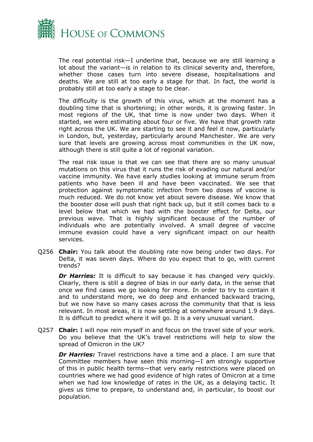

The real potential risk—I underline that, because we are still learning a lot about the variant—is in relation to its clinical severity and, therefore, whether those cases turn into severe disease, hospitalisations and deaths. We are still at too early a stage for that. In fact, the world is probably still at too early a stage to be clear.

The difficulty is the growth of this virus, which at the moment has a doubling time that is shortening; in other words, it is growing faster. In most regions of the UK, that time is now under two days. When it started, we were estimating about four or five. We have that growth rate right across the UK. We are starting to see it and feel it now, particularly in London, but, yesterday, particularly around Manchester. We are very sure that levels are growing across most communities in the UK now, although there is still quite a lot of regional variation.

The real risk issue is that we can see that there are so many unusual mutations on this virus that it runs the risk of evading our natural and/or vaccine immunity. We have early studies looking at immune serum from patients who have been ill and have been vaccinated. We see that protection against symptomatic infection from two doses of vaccine is much reduced. We do not know yet about severe disease. We know that the booster dose will push that right back up, but it still comes back to a level below that which we had with the booster effect for Delta, our previous wave. That is highly significant because of the number of individuals who are potentially involved. A small degree of vaccine immune evasion could have a very significant impact on our health services.

Q256 **Chair:** You talk about the doubling rate now being under two days. For Delta, it was seven days. Where do you expect that to go, with current trends?

**Dr Harries:** It is difficult to say because it has changed very quickly. Clearly, there is still a degree of bias in our early data, in the sense that once we find cases we go looking for more. In order to try to contain it and to understand more, we do deep and enhanced backward tracing, but we now have so many cases across the community that that is less relevant. In most areas, it is now settling at somewhere around 1.9 days. It is difficult to predict where it will go. It is a very unusual variant.

Q257 **Chair:** I will now rein myself in and focus on the travel side of your work. Do you believe that the UK's travel restrictions will help to slow the spread of Omicron in the UK?

*Dr Harries:* Travel restrictions have a time and a place. I am sure that Committee members have seen this morning—I am strongly supportive of this in public health terms—that very early restrictions were placed on countries where we had good evidence of high rates of Omicron at a time when we had low knowledge of rates in the UK, as a delaying tactic. It gives us time to prepare, to understand and, in particular, to boost our population.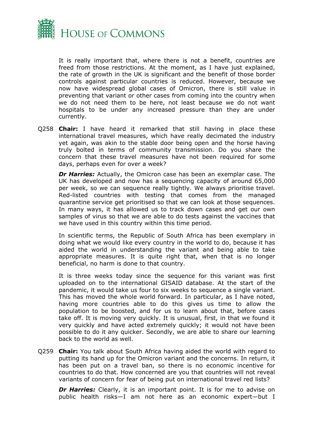

It is really important that, where there is not a benefit, countries are freed from those restrictions. At the moment, as I have just explained, the rate of growth in the UK is significant and the benefit of those border controls against particular countries is reduced. However, because we now have widespread global cases of Omicron, there is still value in preventing that variant or other cases from coming into the country when we do not need them to be here, not least because we do not want hospitals to be under any increased pressure than they are under currently.

Q258 **Chair:** I have heard it remarked that still having in place these international travel measures, which have really decimated the industry yet again, was akin to the stable door being open and the horse having truly bolted in terms of community transmission. Do you share the concern that these travel measures have not been required for some days, perhaps even for over a week?

*Dr Harries:* Actually, the Omicron case has been an exemplar case. The UK has developed and now has a sequencing capacity of around 65,000 per week, so we can sequence really tightly. We always prioritise travel. Red-listed countries with testing that comes from the managed quarantine service get prioritised so that we can look at those sequences. In many ways, it has allowed us to track down cases and get our own samples of virus so that we are able to do tests against the vaccines that we have used in this country within this time period.

In scientific terms, the Republic of South Africa has been exemplary in doing what we would like every country in the world to do, because it has aided the world in understanding the variant and being able to take appropriate measures. It is quite right that, when that is no longer beneficial, no harm is done to that country.

It is three weeks today since the sequence for this variant was first uploaded on to the international GISAID database. At the start of the pandemic, it would take us four to six weeks to sequence a single variant. This has moved the whole world forward. In particular, as I have noted, having more countries able to do this gives us time to allow the population to be boosted, and for us to learn about that, before cases take off. It is moving very quickly. It is unusual, first, in that we found it very quickly and have acted extremely quickly; it would not have been possible to do it any quicker. Secondly, we are able to share our learning back to the world as well.

Q259 **Chair:** You talk about South Africa having aided the world with regard to putting its hand up for the Omicron variant and the concerns. In return, it has been put on a travel ban, so there is no economic incentive for countries to do that. How concerned are you that countries will not reveal variants of concern for fear of being put on international travel red lists?

**Dr Harries:** Clearly, it is an important point. It is for me to advise on public health risks—I am not here as an economic expert—but I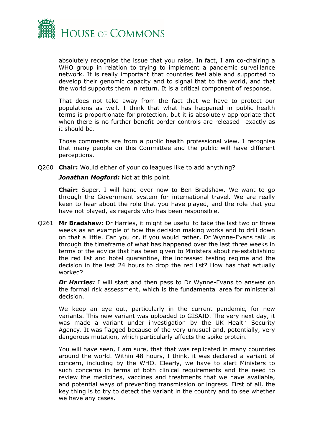

absolutely recognise the issue that you raise. In fact, I am co-chairing a WHO group in relation to trying to implement a pandemic surveillance network. It is really important that countries feel able and supported to develop their genomic capacity and to signal that to the world, and that the world supports them in return. It is a critical component of response.

That does not take away from the fact that we have to protect our populations as well. I think that what has happened in public health terms is proportionate for protection, but it is absolutely appropriate that when there is no further benefit border controls are released—exactly as it should be.

Those comments are from a public health professional view. I recognise that many people on this Committee and the public will have different perceptions.

Q260 **Chair:** Would either of your colleagues like to add anything?

*Jonathan Mogford:* Not at this point.

**Chair:** Super. I will hand over now to Ben Bradshaw. We want to go through the Government system for international travel. We are really keen to hear about the role that you have played, and the role that you have not played, as regards who has been responsible.

Q261 **Mr Bradshaw:** Dr Harries, it might be useful to take the last two or three weeks as an example of how the decision making works and to drill down on that a little. Can you or, if you would rather, Dr Wynne-Evans talk us through the timeframe of what has happened over the last three weeks in terms of the advice that has been given to Ministers about re-establishing the red list and hotel quarantine, the increased testing regime and the decision in the last 24 hours to drop the red list? How has that actually worked?

*Dr Harries:* I will start and then pass to Dr Wynne-Evans to answer on the formal risk assessment, which is the fundamental area for ministerial decision.

We keep an eye out, particularly in the current pandemic, for new variants. This new variant was uploaded to GISAID. The very next day, it was made a variant under investigation by the UK Health Security Agency. It was flagged because of the very unusual and, potentially, very dangerous mutation, which particularly affects the spike protein.

You will have seen, I am sure, that that was replicated in many countries around the world. Within 48 hours, I think, it was declared a variant of concern, including by the WHO. Clearly, we have to alert Ministers to such concerns in terms of both clinical requirements and the need to review the medicines, vaccines and treatments that we have available, and potential ways of preventing transmission or ingress. First of all, the key thing is to try to detect the variant in the country and to see whether we have any cases.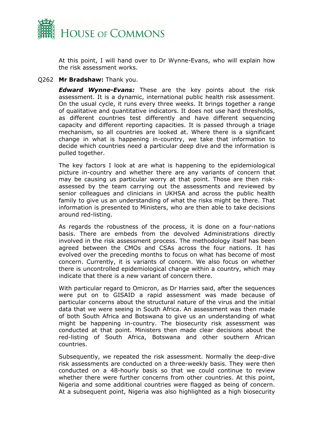

At this point, I will hand over to Dr Wynne-Evans, who will explain how the risk assessment works.

#### Q262 **Mr Bradshaw:** Thank you.

*Edward Wynne-Evans:* These are the key points about the risk assessment. It is a dynamic, international public health risk assessment. On the usual cycle, it runs every three weeks. It brings together a range of qualitative and quantitative indicators. It does not use hard thresholds, as different countries test differently and have different sequencing capacity and different reporting capacities. It is passed through a triage mechanism, so all countries are looked at. Where there is a significant change in what is happening in-country, we take that information to decide which countries need a particular deep dive and the information is pulled together.

The key factors I look at are what is happening to the epidemiological picture in-country and whether there are any variants of concern that may be causing us particular worry at that point. Those are then riskassessed by the team carrying out the assessments and reviewed by senior colleagues and clinicians in UKHSA and across the public health family to give us an understanding of what the risks might be there. That information is presented to Ministers, who are then able to take decisions around red-listing.

As regards the robustness of the process, it is done on a four-nations basis. There are embeds from the devolved Administrations directly involved in the risk assessment process. The methodology itself has been agreed between the CMOs and CSAs across the four nations. It has evolved over the preceding months to focus on what has become of most concern. Currently, it is variants of concern. We also focus on whether there is uncontrolled epidemiological change within a country, which may indicate that there is a new variant of concern there.

With particular regard to Omicron, as Dr Harries said, after the sequences were put on to GISAID a rapid assessment was made because of particular concerns about the structural nature of the virus and the initial data that we were seeing in South Africa. An assessment was then made of both South Africa and Botswana to give us an understanding of what might be happening in-country. The biosecurity risk assessment was conducted at that point. Ministers then made clear decisions about the red-listing of South Africa, Botswana and other southern African countries.

Subsequently, we repeated the risk assessment. Normally the deep-dive risk assessments are conducted on a three-weekly basis. They were then conducted on a 48-hourly basis so that we could continue to review whether there were further concerns from other countries. At this point, Nigeria and some additional countries were flagged as being of concern. At a subsequent point, Nigeria was also highlighted as a high biosecurity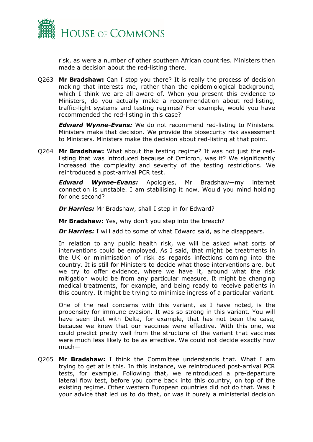

risk, as were a number of other southern African countries. Ministers then made a decision about the red-listing there.

Q263 **Mr Bradshaw:** Can I stop you there? It is really the process of decision making that interests me, rather than the epidemiological background, which I think we are all aware of. When you present this evidence to Ministers, do you actually make a recommendation about red-listing, traffic-light systems and testing regimes? For example, would you have recommended the red-listing in this case?

*Edward Wynne-Evans:* We do not recommend red-listing to Ministers. Ministers make that decision. We provide the biosecurity risk assessment to Ministers. Ministers make the decision about red-listing at that point.

Q264 **Mr Bradshaw:** What about the testing regime? It was not just the redlisting that was introduced because of Omicron, was it? We significantly increased the complexity and severity of the testing restrictions. We reintroduced a post-arrival PCR test.

*Edward Wynne-Evans:* Apologies, Mr Bradshaw—my internet connection is unstable. I am stabilising it now. Would you mind holding for one second?

*Dr Harries:* Mr Bradshaw, shall I step in for Edward?

**Mr Bradshaw:** Yes, why don't you step into the breach?

*Dr Harries:* I will add to some of what Edward said, as he disappears.

In relation to any public health risk, we will be asked what sorts of interventions could be employed. As I said, that might be treatments in the UK or minimisation of risk as regards infections coming into the country. It is still for Ministers to decide what those interventions are, but we try to offer evidence, where we have it, around what the risk mitigation would be from any particular measure. It might be changing medical treatments, for example, and being ready to receive patients in this country. It might be trying to minimise ingress of a particular variant.

One of the real concerns with this variant, as I have noted, is the propensity for immune evasion. It was so strong in this variant. You will have seen that with Delta, for example, that has not been the case, because we knew that our vaccines were effective. With this one, we could predict pretty well from the structure of the variant that vaccines were much less likely to be as effective. We could not decide exactly how much—

Q265 **Mr Bradshaw:** I think the Committee understands that. What I am trying to get at is this. In this instance, we reintroduced post-arrival PCR tests, for example. Following that, we reintroduced a pre-departure lateral flow test, before you come back into this country, on top of the existing regime. Other western European countries did not do that. Was it your advice that led us to do that, or was it purely a ministerial decision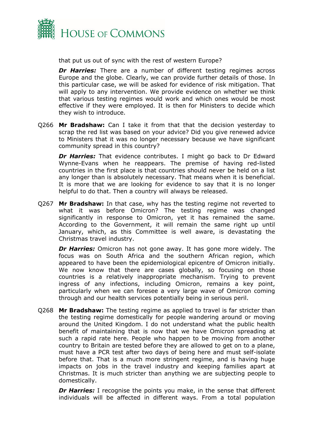

that put us out of sync with the rest of western Europe?

**Dr Harries:** There are a number of different testing regimes across Europe and the globe. Clearly, we can provide further details of those. In this particular case, we will be asked for evidence of risk mitigation. That will apply to any intervention. We provide evidence on whether we think that various testing regimes would work and which ones would be most effective if they were employed. It is then for Ministers to decide which they wish to introduce.

Q266 **Mr Bradshaw:** Can I take it from that that the decision yesterday to scrap the red list was based on your advice? Did you give renewed advice to Ministers that it was no longer necessary because we have significant community spread in this country?

**Dr Harries:** That evidence contributes. I might go back to Dr Edward Wynne-Evans when he reappears. The premise of having red-listed countries in the first place is that countries should never be held on a list any longer than is absolutely necessary. That means when it is beneficial. It is more that we are looking for evidence to say that it is no longer helpful to do that. Then a country will always be released.

Q267 **Mr Bradshaw:** In that case, why has the testing regime not reverted to what it was before Omicron? The testing regime was changed significantly in response to Omicron, yet it has remained the same. According to the Government, it will remain the same right up until January, which, as this Committee is well aware, is devastating the Christmas travel industry.

*Dr Harries:* Omicron has not gone away. It has gone more widely. The focus was on South Africa and the southern African region, which appeared to have been the epidemiological epicentre of Omicron initially. We now know that there are cases globally, so focusing on those countries is a relatively inappropriate mechanism. Trying to prevent ingress of any infections, including Omicron, remains a key point, particularly when we can foresee a very large wave of Omicron coming through and our health services potentially being in serious peril.

Q268 **Mr Bradshaw:** The testing regime as applied to travel is far stricter than the testing regime domestically for people wandering around or moving around the United Kingdom. I do not understand what the public health benefit of maintaining that is now that we have Omicron spreading at such a rapid rate here. People who happen to be moving from another country to Britain are tested before they are allowed to get on to a plane, must have a PCR test after two days of being here and must self-isolate before that. That is a much more stringent regime, and is having huge impacts on jobs in the travel industry and keeping families apart at Christmas. It is much stricter than anything we are subjecting people to domestically.

**Dr Harries:** I recognise the points you make, in the sense that different individuals will be affected in different ways. From a total population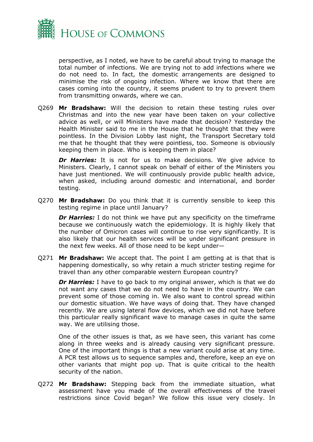

perspective, as I noted, we have to be careful about trying to manage the total number of infections. We are trying not to add infections where we do not need to. In fact, the domestic arrangements are designed to minimise the risk of ongoing infection. Where we know that there are cases coming into the country, it seems prudent to try to prevent them from transmitting onwards, where we can.

Q269 **Mr Bradshaw:** Will the decision to retain these testing rules over Christmas and into the new year have been taken on your collective advice as well, or will Ministers have made that decision? Yesterday the Health Minister said to me in the House that he thought that they were pointless. In the Division Lobby last night, the Transport Secretary told me that he thought that they were pointless, too. Someone is obviously keeping them in place. Who is keeping them in place?

*Dr Harries:* It is not for us to make decisions. We give advice to Ministers. Clearly, I cannot speak on behalf of either of the Ministers you have just mentioned. We will continuously provide public health advice, when asked, including around domestic and international, and border testing.

Q270 **Mr Bradshaw:** Do you think that it is currently sensible to keep this testing regime in place until January?

*Dr Harries:* I do not think we have put any specificity on the timeframe because we continuously watch the epidemiology. It is highly likely that the number of Omicron cases will continue to rise very significantly. It is also likely that our health services will be under significant pressure in the next few weeks. All of those need to be kept under—

Q271 **Mr Bradshaw:** We accept that. The point I am getting at is that that is happening domestically, so why retain a much stricter testing regime for travel than any other comparable western European country?

**Dr Harries:** I have to go back to my original answer, which is that we do not want any cases that we do not need to have in the country. We can prevent some of those coming in. We also want to control spread within our domestic situation. We have ways of doing that. They have changed recently. We are using lateral flow devices, which we did not have before this particular really significant wave to manage cases in quite the same way. We are utilising those.

One of the other issues is that, as we have seen, this variant has come along in three weeks and is already causing very significant pressure. One of the important things is that a new variant could arise at any time. A PCR test allows us to sequence samples and, therefore, keep an eye on other variants that might pop up. That is quite critical to the health security of the nation.

Q272 **Mr Bradshaw:** Stepping back from the immediate situation, what assessment have you made of the overall effectiveness of the travel restrictions since Covid began? We follow this issue very closely. In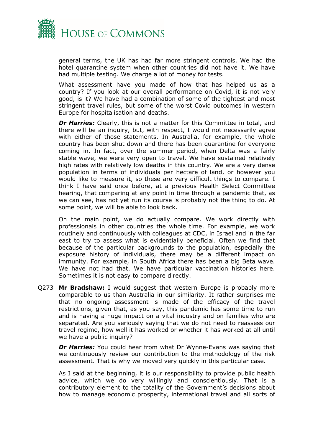

general terms, the UK has had far more stringent controls. We had the hotel quarantine system when other countries did not have it. We have had multiple testing. We charge a lot of money for tests.

What assessment have you made of how that has helped us as a country? If you look at our overall performance on Covid, it is not very good, is it? We have had a combination of some of the tightest and most stringent travel rules, but some of the worst Covid outcomes in western Europe for hospitalisation and deaths.

**Dr Harries:** Clearly, this is not a matter for this Committee in total, and there will be an inquiry, but, with respect, I would not necessarily agree with either of those statements. In Australia, for example, the whole country has been shut down and there has been quarantine for everyone coming in. In fact, over the summer period, when Delta was a fairly stable wave, we were very open to travel. We have sustained relatively high rates with relatively low deaths in this country. We are a very dense population in terms of individuals per hectare of land, or however you would like to measure it, so these are very difficult things to compare. I think I have said once before, at a previous Health Select Committee hearing, that comparing at any point in time through a pandemic that, as we can see, has not yet run its course is probably not the thing to do. At some point, we will be able to look back.

On the main point, we do actually compare. We work directly with professionals in other countries the whole time. For example, we work routinely and continuously with colleagues at CDC, in Israel and in the far east to try to assess what is evidentially beneficial. Often we find that because of the particular backgrounds to the population, especially the exposure history of individuals, there may be a different impact on immunity. For example, in South Africa there has been a big Beta wave. We have not had that. We have particular vaccination histories here. Sometimes it is not easy to compare directly.

Q273 **Mr Bradshaw:** I would suggest that western Europe is probably more comparable to us than Australia in our similarity. It rather surprises me that no ongoing assessment is made of the efficacy of the travel restrictions, given that, as you say, this pandemic has some time to run and is having a huge impact on a vital industry and on families who are separated. Are you seriously saying that we do not need to reassess our travel regime, how well it has worked or whether it has worked at all until we have a public inquiry?

**Dr Harries:** You could hear from what Dr Wynne-Evans was saying that we continuously review our contribution to the methodology of the risk assessment. That is why we moved very quickly in this particular case.

As I said at the beginning, it is our responsibility to provide public health advice, which we do very willingly and conscientiously. That is a contributory element to the totality of the Government's decisions about how to manage economic prosperity, international travel and all sorts of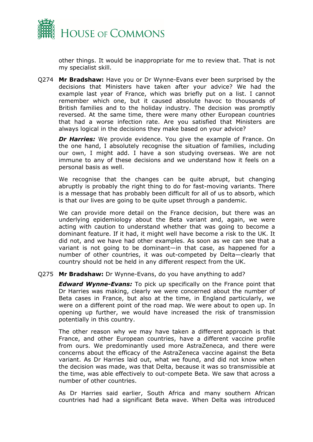

other things. It would be inappropriate for me to review that. That is not my specialist skill.

Q274 **Mr Bradshaw:** Have you or Dr Wynne-Evans ever been surprised by the decisions that Ministers have taken after your advice? We had the example last year of France, which was briefly put on a list. I cannot remember which one, but it caused absolute havoc to thousands of British families and to the holiday industry. The decision was promptly reversed. At the same time, there were many other European countries that had a worse infection rate. Are you satisfied that Ministers are always logical in the decisions they make based on your advice?

**Dr Harries:** We provide evidence. You give the example of France. On the one hand, I absolutely recognise the situation of families, including our own, I might add. I have a son studying overseas. We are not immune to any of these decisions and we understand how it feels on a personal basis as well.

We recognise that the changes can be quite abrupt, but changing abruptly is probably the right thing to do for fast-moving variants. There is a message that has probably been difficult for all of us to absorb, which is that our lives are going to be quite upset through a pandemic.

We can provide more detail on the France decision, but there was an underlying epidemiology about the Beta variant and, again, we were acting with caution to understand whether that was going to become a dominant feature. If it had, it might well have become a risk to the UK. It did not, and we have had other examples. As soon as we can see that a variant is not going to be dominant—in that case, as happened for a number of other countries, it was out-competed by Delta—clearly that country should not be held in any different respect from the UK.

#### Q275 **Mr Bradshaw:** Dr Wynne-Evans, do you have anything to add?

*Edward Wynne-Evans:* To pick up specifically on the France point that Dr Harries was making, clearly we were concerned about the number of Beta cases in France, but also at the time, in England particularly, we were on a different point of the road map. We were about to open up. In opening up further, we would have increased the risk of transmission potentially in this country.

The other reason why we may have taken a different approach is that France, and other European countries, have a different vaccine profile from ours. We predominantly used more AstraZeneca, and there were concerns about the efficacy of the AstraZeneca vaccine against the Beta variant. As Dr Harries laid out, what we found, and did not know when the decision was made, was that Delta, because it was so transmissible at the time, was able effectively to out-compete Beta. We saw that across a number of other countries.

As Dr Harries said earlier, South Africa and many southern African countries had had a significant Beta wave. When Delta was introduced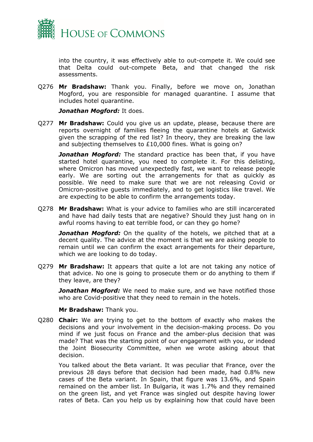

into the country, it was effectively able to out-compete it. We could see that Delta could out-compete Beta, and that changed the risk assessments.

Q276 **Mr Bradshaw:** Thank you. Finally, before we move on, Jonathan Mogford, you are responsible for managed quarantine. I assume that includes hotel quarantine.

*Jonathan Mogford:* It does.

Q277 **Mr Bradshaw:** Could you give us an update, please, because there are reports overnight of families fleeing the quarantine hotels at Gatwick given the scrapping of the red list? In theory, they are breaking the law and subjecting themselves to £10,000 fines. What is going on?

*Jonathan Mogford:* The standard practice has been that, if you have started hotel quarantine, you need to complete it. For this delisting, where Omicron has moved unexpectedly fast, we want to release people early. We are sorting out the arrangements for that as quickly as possible. We need to make sure that we are not releasing Covid or Omicron-positive guests immediately, and to get logistics like travel. We are expecting to be able to confirm the arrangements today.

Q278 **Mr Bradshaw:** What is your advice to families who are still incarcerated and have had daily tests that are negative? Should they just hang on in awful rooms having to eat terrible food, or can they go home?

*Jonathan Mogford:* On the quality of the hotels, we pitched that at a decent quality. The advice at the moment is that we are asking people to remain until we can confirm the exact arrangements for their departure, which we are looking to do today.

Q279 **Mr Bradshaw:** It appears that quite a lot are not taking any notice of that advice. No one is going to prosecute them or do anything to them if they leave, are they?

*Jonathan Mogford:* We need to make sure, and we have notified those who are Covid-positive that they need to remain in the hotels.

#### **Mr Bradshaw:** Thank you.

Q280 **Chair:** We are trying to get to the bottom of exactly who makes the decisions and your involvement in the decision-making process. Do you mind if we just focus on France and the amber-plus decision that was made? That was the starting point of our engagement with you, or indeed the Joint Biosecurity Committee, when we wrote asking about that decision.

You talked about the Beta variant. It was peculiar that France, over the previous 28 days before that decision had been made, had 0.8% new cases of the Beta variant. In Spain, that figure was 13.6%, and Spain remained on the amber list. In Bulgaria, it was 1.7% and they remained on the green list, and yet France was singled out despite having lower rates of Beta. Can you help us by explaining how that could have been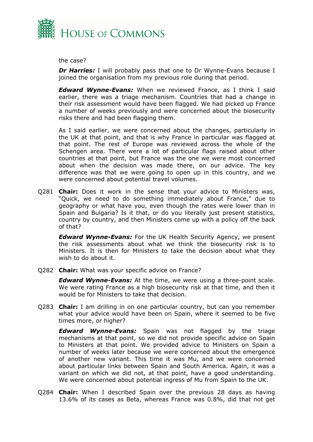

the case?

*Dr Harries:* I will probably pass that one to Dr Wynne-Evans because I joined the organisation from my previous role during that period.

*Edward Wynne-Evans:* When we reviewed France, as I think I said earlier, there was a triage mechanism. Countries that had a change in their risk assessment would have been flagged. We had picked up France a number of weeks previously and were concerned about the biosecurity risks there and had been flagging them.

As I said earlier, we were concerned about the changes, particularly in the UK at that point, and that is why France in particular was flagged at that point. The rest of Europe was reviewed across the whole of the Schengen area. There were a lot of particular flags raised about other countries at that point, but France was the one we were most concerned about when the decision was made there, on our advice. The key difference was that we were going to open up in this country, and we were concerned about potential travel volumes.

Q281 **Chair:** Does it work in the sense that your advice to Ministers was, "Quick, we need to do something immediately about France," due to geography or what have you, even though the rates were lower than in Spain and Bulgaria? Is it that, or do you literally just present statistics, country by country, and then Ministers come up with a policy off the back of that?

*Edward Wynne-Evans:* For the UK Health Security Agency, we present the risk assessments about what we think the biosecurity risk is to Ministers. It is then for Ministers to take the decision about what they wish to do about it.

Q282 **Chair:** What was your specific advice on France?

*Edward Wynne-Evans:* At the time, we were using a three-point scale. We were rating France as a high biosecurity risk at that time, and then it would be for Ministers to take that decision.

Q283 **Chair:** I am drilling in on one particular country, but can you remember what your advice would have been on Spain, where it seemed to be five times more, or higher?

*Edward Wynne-Evans:* Spain was not flagged by the triage mechanisms at that point, so we did not provide specific advice on Spain to Ministers at that point. We provided advice to Ministers on Spain a number of weeks later because we were concerned about the emergence of another new variant. This time it was Mu, and we were concerned about particular links between Spain and South America. Again, it was a variant on which we did not, at that point, have a good understanding. We were concerned about potential ingress of Mu from Spain to the UK.

Q284 **Chair:** When I described Spain over the previous 28 days as having 13.6% of its cases as Beta, whereas France was 0.8%, did that not get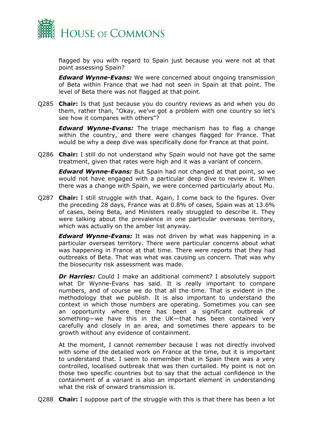

flagged by you with regard to Spain just because you were not at that point assessing Spain?

*Edward Wynne-Evans:* We were concerned about ongoing transmission of Beta within France that we had not seen in Spain at that point. The level of Beta there was not flagged at that point.

Q285 **Chair:** Is that just because you do country reviews as and when you do them, rather than, "Okay, we've got a problem with one country so let's see how it compares with others"?

*Edward Wynne-Evans:* The triage mechanism has to flag a change within the country, and there were changes flagged for France. That would be why a deep dive was specifically done for France at that point.

Q286 **Chair:** I still do not understand why Spain would not have got the same treatment, given that rates were high and it was a variant of concern.

*Edward Wynne-Evans:* But Spain had not changed at that point, so we would not have engaged with a particular deep dive to review it. When there was a change with Spain, we were concerned particularly about Mu.

Q287 **Chair:** I still struggle with that. Again, I come back to the figures. Over the preceding 28 days, France was at 0.8% of cases, Spain was at 13.6% of cases, being Beta, and Ministers really struggled to describe it. They were talking about the prevalence in one particular overseas territory, which was actually on the amber list anyway.

*Edward Wynne-Evans:* It was not driven by what was happening in a particular overseas territory. There were particular concerns about what was happening in France at that time. There were reports that they had outbreaks of Beta. That was what was causing us concern. That was why the biosecurity risk assessment was made.

**Dr Harries:** Could I make an additional comment? I absolutely support what Dr Wynne-Evans has said. It is really important to compare numbers, and of course we do that all the time. That is evident in the methodology that we publish. It is also important to understand the context in which those numbers are operating. Sometimes you can see an opportunity where there has been a significant outbreak of something—we have this in the UK—that has been contained very carefully and closely in an area, and sometimes there appears to be growth without any evidence of containment.

At the moment, I cannot remember because I was not directly involved with some of the detailed work on France at the time, but it is important to understand that. I seem to remember that in Spain there was a very controlled, localised outbreak that was then curtailed. My point is not on those two specific countries but to say that the actual confidence in the containment of a variant is also an important element in understanding what the risk of onward transmission is.

Q288 **Chair:** I suppose part of the struggle with this is that there has been a lot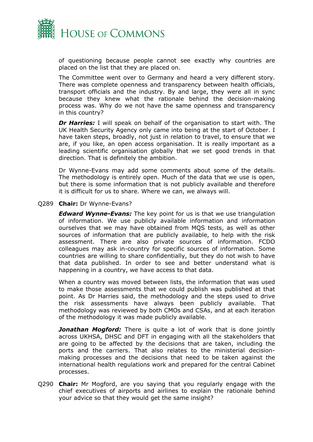

of questioning because people cannot see exactly why countries are placed on the list that they are placed on.

The Committee went over to Germany and heard a very different story. There was complete openness and transparency between health officials, transport officials and the industry. By and large, they were all in sync because they knew what the rationale behind the decision-making process was. Why do we not have the same openness and transparency in this country?

*Dr Harries:* I will speak on behalf of the organisation to start with. The UK Health Security Agency only came into being at the start of October. I have taken steps, broadly, not just in relation to travel, to ensure that we are, if you like, an open access organisation. It is really important as a leading scientific organisation globally that we set good trends in that direction. That is definitely the ambition.

Dr Wynne-Evans may add some comments about some of the details. The methodology is entirely open. Much of the data that we use is open, but there is some information that is not publicly available and therefore it is difficult for us to share. Where we can, we always will.

#### Q289 **Chair:** Dr Wynne-Evans?

*Edward Wynne-Evans:* The key point for us is that we use triangulation of information. We use publicly available information and information ourselves that we may have obtained from MQS tests, as well as other sources of information that are publicly available, to help with the risk assessment. There are also private sources of information. FCDO colleagues may ask in-country for specific sources of information. Some countries are willing to share confidentially, but they do not wish to have that data published. In order to see and better understand what is happening in a country, we have access to that data.

When a country was moved between lists, the information that was used to make those assessments that we could publish was published at that point. As Dr Harries said, the methodology and the steps used to drive the risk assessments have always been publicly available. That methodology was reviewed by both CMOs and CSAs, and at each iteration of the methodology it was made publicly available.

*Jonathan Mogford:* There is quite a lot of work that is done jointly across UKHSA, DHSC and DFT in engaging with all the stakeholders that are going to be affected by the decisions that are taken, including the ports and the carriers. That also relates to the ministerial decisionmaking processes and the decisions that need to be taken against the international health regulations work and prepared for the central Cabinet processes.

Q290 **Chair:** Mr Mogford, are you saying that you regularly engage with the chief executives of airports and airlines to explain the rationale behind your advice so that they would get the same insight?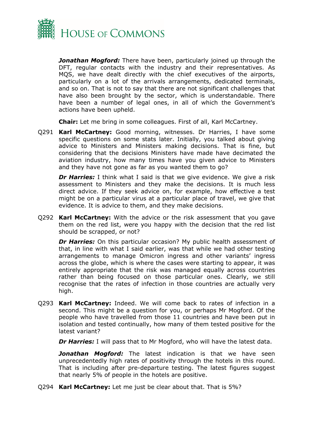

*Jonathan Mogford:* There have been, particularly joined up through the DFT, regular contacts with the industry and their representatives. As MQS, we have dealt directly with the chief executives of the airports, particularly on a lot of the arrivals arrangements, dedicated terminals, and so on. That is not to say that there are not significant challenges that have also been brought by the sector, which is understandable. There have been a number of legal ones, in all of which the Government's actions have been upheld.

**Chair:** Let me bring in some colleagues. First of all, Karl McCartney.

Q291 **Karl McCartney:** Good morning, witnesses. Dr Harries, I have some specific questions on some stats later. Initially, you talked about giving advice to Ministers and Ministers making decisions. That is fine, but considering that the decisions Ministers have made have decimated the aviation industry, how many times have you given advice to Ministers and they have not gone as far as you wanted them to go?

*Dr Harries:* I think what I said is that we give evidence. We give a risk assessment to Ministers and they make the decisions. It is much less direct advice. If they seek advice on, for example, how effective a test might be on a particular virus at a particular place of travel, we give that evidence. It is advice to them, and they make decisions.

Q292 **Karl McCartney:** With the advice or the risk assessment that you gave them on the red list, were you happy with the decision that the red list should be scrapped, or not?

**Dr Harries:** On this particular occasion? My public health assessment of that, in line with what I said earlier, was that while we had other testing arrangements to manage Omicron ingress and other variants' ingress across the globe, which is where the cases were starting to appear, it was entirely appropriate that the risk was managed equally across countries rather than being focused on those particular ones. Clearly, we still recognise that the rates of infection in those countries are actually very high.

Q293 **Karl McCartney:** Indeed. We will come back to rates of infection in a second. This might be a question for you, or perhaps Mr Mogford. Of the people who have travelled from those 11 countries and have been put in isolation and tested continually, how many of them tested positive for the latest variant?

*Dr Harries:* I will pass that to Mr Mogford, who will have the latest data.

*Jonathan Mogford:* The latest indication is that we have seen unprecedentedly high rates of positivity through the hotels in this round. That is including after pre-departure testing. The latest figures suggest that nearly 5% of people in the hotels are positive.

Q294 **Karl McCartney:** Let me just be clear about that. That is 5%?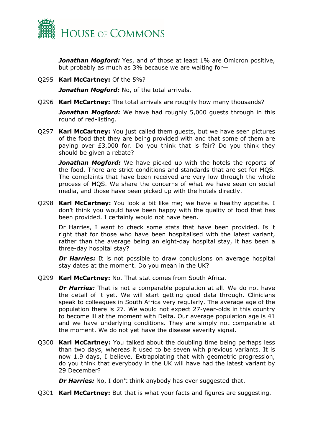

*Jonathan Mogford:* Yes, and of those at least 1% are Omicron positive, but probably as much as 3% because we are waiting for—

Q295 **Karl McCartney:** Of the 5%?

*Jonathan Mogford:* No, of the total arrivals.

Q296 **Karl McCartney:** The total arrivals are roughly how many thousands?

*Jonathan Mogford:* We have had roughly 5,000 guests through in this round of red-listing.

Q297 **Karl McCartney:** You just called them guests, but we have seen pictures of the food that they are being provided with and that some of them are paying over £3,000 for. Do you think that is fair? Do you think they should be given a rebate?

*Jonathan Mogford:* We have picked up with the hotels the reports of the food. There are strict conditions and standards that are set for MQS. The complaints that have been received are very low through the whole process of MQS. We share the concerns of what we have seen on social media, and those have been picked up with the hotels directly.

Q298 **Karl McCartney:** You look a bit like me; we have a healthy appetite. I don't think you would have been happy with the quality of food that has been provided. I certainly would not have been.

Dr Harries, I want to check some stats that have been provided. Is it right that for those who have been hospitalised with the latest variant, rather than the average being an eight-day hospital stay, it has been a three-day hospital stay?

**Dr Harries:** It is not possible to draw conclusions on average hospital stay dates at the moment. Do you mean in the UK?

Q299 **Karl McCartney:** No. That stat comes from South Africa.

**Dr Harries:** That is not a comparable population at all. We do not have the detail of it yet. We will start getting good data through. Clinicians speak to colleagues in South Africa very regularly. The average age of the population there is 27. We would not expect 27-year-olds in this country to become ill at the moment with Delta. Our average population age is 41 and we have underlying conditions. They are simply not comparable at the moment. We do not yet have the disease severity signal.

Q300 **Karl McCartney:** You talked about the doubling time being perhaps less than two days, whereas it used to be seven with previous variants. It is now 1.9 days, I believe. Extrapolating that with geometric progression, do you think that everybody in the UK will have had the latest variant by 29 December?

**Dr Harries:** No, I don't think anybody has ever suggested that.

Q301 **Karl McCartney:** But that is what your facts and figures are suggesting.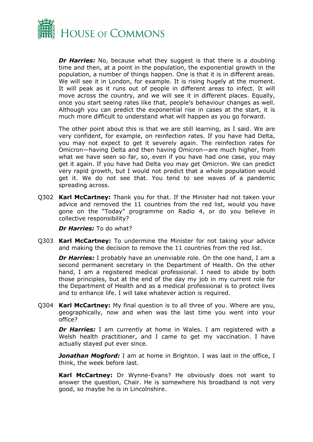

*Dr Harries:* No, because what they suggest is that there is a doubling time and then, at a point in the population, the exponential growth in the population, a number of things happen. One is that it is in different areas. We will see it in London, for example. It is rising hugely at the moment. It will peak as it runs out of people in different areas to infect. It will move across the country, and we will see it in different places. Equally, once you start seeing rates like that, people's behaviour changes as well. Although you can predict the exponential rise in cases at the start, it is much more difficult to understand what will happen as you go forward.

The other point about this is that we are still learning, as I said. We are very confident, for example, on reinfection rates. If you have had Delta, you may not expect to get it severely again. The reinfection rates for Omicron—having Delta and then having Omicron—are much higher, from what we have seen so far, so, even if you have had one case, you may get it again. If you have had Delta you may get Omicron. We can predict very rapid growth, but I would not predict that a whole population would get it. We do not see that. You tend to see waves of a pandemic spreading across.

Q302 **Karl McCartney:** Thank you for that. If the Minister had not taken your advice and removed the 11 countries from the red list, would you have gone on the "Today" programme on Radio 4, or do you believe in collective responsibility?

*Dr Harries:* To do what?

Q303 **Karl McCartney:** To undermine the Minister for not taking your advice and making the decision to remove the 11 countries from the red list.

**Dr Harries:** I probably have an unenviable role. On the one hand, I am a second permanent secretary in the Department of Health. On the other hand, I am a registered medical professional. I need to abide by both those principles, but at the end of the day my job in my current role for the Department of Health and as a medical professional is to protect lives and to enhance life. I will take whatever action is required.

Q304 **Karl McCartney:** My final question is to all three of you. Where are you, geographically, now and when was the last time you went into your office?

**Dr Harries:** I am currently at home in Wales. I am registered with a Welsh health practitioner, and I came to get my vaccination. I have actually stayed put ever since.

*Jonathan Mogford:* I am at home in Brighton. I was last in the office, I think, the week before last.

**Karl McCartney:** Dr Wynne-Evans? He obviously does not want to answer the question, Chair. He is somewhere his broadband is not very good, so maybe he is in Lincolnshire.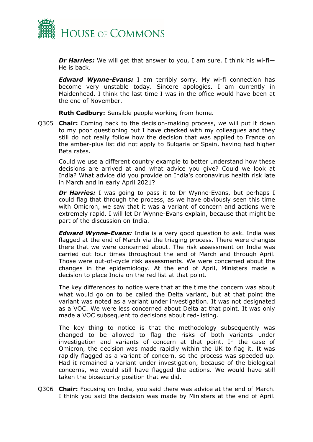

*Dr Harries:* We will get that answer to you, I am sure. I think his wi-fi— He is back.

*Edward Wynne-Evans:* I am terribly sorry. My wi-fi connection has become very unstable today. Sincere apologies. I am currently in Maidenhead. I think the last time I was in the office would have been at the end of November.

**Ruth Cadbury:** Sensible people working from home.

Q305 **Chair:** Coming back to the decision-making process, we will put it down to my poor questioning but I have checked with my colleagues and they still do not really follow how the decision that was applied to France on the amber-plus list did not apply to Bulgaria or Spain, having had higher Beta rates.

Could we use a different country example to better understand how these decisions are arrived at and what advice you give? Could we look at India? What advice did you provide on India's coronavirus health risk late in March and in early April 2021?

*Dr Harries:* I was going to pass it to Dr Wynne-Evans, but perhaps I could flag that through the process, as we have obviously seen this time with Omicron, we saw that it was a variant of concern and actions were extremely rapid. I will let Dr Wynne-Evans explain, because that might be part of the discussion on India.

*Edward Wynne-Evans:* India is a very good question to ask. India was flagged at the end of March via the triaging process. There were changes there that we were concerned about. The risk assessment on India was carried out four times throughout the end of March and through April. Those were out-of-cycle risk assessments. We were concerned about the changes in the epidemiology. At the end of April, Ministers made a decision to place India on the red list at that point.

The key differences to notice were that at the time the concern was about what would go on to be called the Delta variant, but at that point the variant was noted as a variant under investigation. It was not designated as a VOC. We were less concerned about Delta at that point. It was only made a VOC subsequent to decisions about red-listing.

The key thing to notice is that the methodology subsequently was changed to be allowed to flag the risks of both variants under investigation and variants of concern at that point. In the case of Omicron, the decision was made rapidly within the UK to flag it. It was rapidly flagged as a variant of concern, so the process was speeded up. Had it remained a variant under investigation, because of the biological concerns, we would still have flagged the actions. We would have still taken the biosecurity position that we did.

Q306 **Chair:** Focusing on India, you said there was advice at the end of March. I think you said the decision was made by Ministers at the end of April.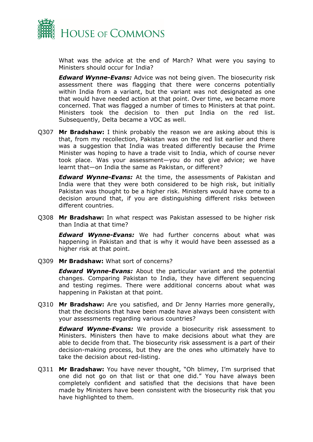

What was the advice at the end of March? What were you saying to Ministers should occur for India?

*Edward Wynne-Evans:* Advice was not being given. The biosecurity risk assessment there was flagging that there were concerns potentially within India from a variant, but the variant was not designated as one that would have needed action at that point. Over time, we became more concerned. That was flagged a number of times to Ministers at that point. Ministers took the decision to then put India on the red list. Subsequently, Delta became a VOC as well.

Q307 **Mr Bradshaw:** I think probably the reason we are asking about this is that, from my recollection, Pakistan was on the red list earlier and there was a suggestion that India was treated differently because the Prime Minister was hoping to have a trade visit to India, which of course never took place. Was your assessment—you do not give advice; we have learnt that—on India the same as Pakistan, or different?

*Edward Wynne-Evans:* At the time, the assessments of Pakistan and India were that they were both considered to be high risk, but initially Pakistan was thought to be a higher risk. Ministers would have come to a decision around that, if you are distinguishing different risks between different countries.

Q308 **Mr Bradshaw:** In what respect was Pakistan assessed to be higher risk than India at that time?

*Edward Wynne-Evans:* We had further concerns about what was happening in Pakistan and that is why it would have been assessed as a higher risk at that point.

Q309 **Mr Bradshaw:** What sort of concerns?

*Edward Wynne-Evans:* About the particular variant and the potential changes. Comparing Pakistan to India, they have different sequencing and testing regimes. There were additional concerns about what was happening in Pakistan at that point.

Q310 **Mr Bradshaw:** Are you satisfied, and Dr Jenny Harries more generally, that the decisions that have been made have always been consistent with your assessments regarding various countries?

*Edward Wynne-Evans:* We provide a biosecurity risk assessment to Ministers. Ministers then have to make decisions about what they are able to decide from that. The biosecurity risk assessment is a part of their decision-making process, but they are the ones who ultimately have to take the decision about red-listing.

Q311 **Mr Bradshaw:** You have never thought, "Oh blimey, I'm surprised that one did not go on that list or that one did." You have always been completely confident and satisfied that the decisions that have been made by Ministers have been consistent with the biosecurity risk that you have highlighted to them.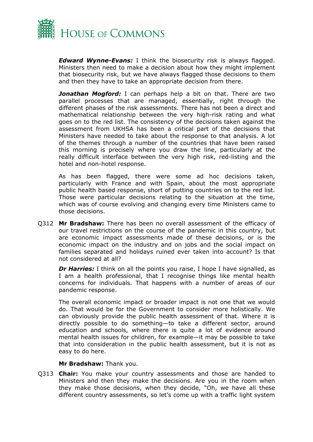

*Edward Wynne-Evans:* I think the biosecurity risk is always flagged. Ministers then need to make a decision about how they might implement that biosecurity risk, but we have always flagged those decisions to them and then they have to take an appropriate decision from there.

*Jonathan Mogford:* I can perhaps help a bit on that. There are two parallel processes that are managed, essentially, right through the different phases of the risk assessments. There has not been a direct and mathematical relationship between the very high-risk rating and what goes on to the red list. The consistency of the decisions taken against the assessment from UKHSA has been a critical part of the decisions that Ministers have needed to take about the response to that analysis. A lot of the themes through a number of the countries that have been raised this morning is precisely where you draw the line, particularly at the really difficult interface between the very high risk, red-listing and the hotel and non-hotel response.

As has been flagged, there were some ad hoc decisions taken, particularly with France and with Spain, about the most appropriate public health based response, short of putting countries on to the red list. Those were particular decisions relating to the situation at the time, which was of course evolving and changing every time Ministers came to those decisions.

Q312 **Mr Bradshaw:** There has been no overall assessment of the efficacy of our travel restrictions on the course of the pandemic in this country, but are economic impact assessments made of these decisions, or is the economic impact on the industry and on jobs and the social impact on families separated and holidays ruined ever taken into account? Is that not considered at all?

*Dr Harries:* I think on all the points you raise, I hope I have signalled, as I am a health professional, that I recognise things like mental health concerns for individuals. That happens with a number of areas of our pandemic response.

The overall economic impact or broader impact is not one that we would do. That would be for the Government to consider more holistically. We can obviously provide the public health assessment of that. Where it is directly possible to do something—to take a different sector, around education and schools, where there is quite a lot of evidence around mental health issues for children, for example—it may be possible to take that into consideration in the public health assessment, but it is not as easy to do here.

**Mr Bradshaw:** Thank you.

Q313 **Chair:** You make your country assessments and those are handed to Ministers and then they make the decisions. Are you in the room when they make those decisions, when they decide, "Oh, we have all these different country assessments, so let's come up with a traffic light system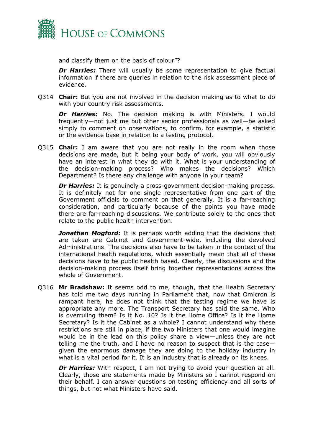

and classify them on the basis of colour"?

**Dr Harries:** There will usually be some representation to give factual information if there are queries in relation to the risk assessment piece of evidence.

Q314 **Chair:** But you are not involved in the decision making as to what to do with your country risk assessments.

*Dr Harries:* No. The decision making is with Ministers. I would frequently—not just me but other senior professionals as well—be asked simply to comment on observations, to confirm, for example, a statistic or the evidence base in relation to a testing protocol.

Q315 **Chair:** I am aware that you are not really in the room when those decisions are made, but it being your body of work, you will obviously have an interest in what they do with it. What is your understanding of the decision-making process? Who makes the decisions? Which Department? Is there any challenge with anyone in your team?

*Dr Harries:* It is genuinely a cross-government decision-making process. It is definitely not for one single representative from one part of the Government officials to comment on that generally. It is a far-reaching consideration, and particularly because of the points you have made there are far-reaching discussions. We contribute solely to the ones that relate to the public health intervention.

*Jonathan Mogford:* It is perhaps worth adding that the decisions that are taken are Cabinet and Government-wide, including the devolved Administrations. The decisions also have to be taken in the context of the international health regulations, which essentially mean that all of these decisions have to be public health based. Clearly, the discussions and the decision-making process itself bring together representations across the whole of Government.

Q316 **Mr Bradshaw:** It seems odd to me, though, that the Health Secretary has told me two days running in Parliament that, now that Omicron is rampant here, he does not think that the testing regime we have is appropriate any more. The Transport Secretary has said the same. Who is overruling them? Is it No. 10? Is it the Home Office? Is it the Home Secretary? Is it the Cabinet as a whole? I cannot understand why these restrictions are still in place, if the two Ministers that one would imagine would be in the lead on this policy share a view—unless they are not telling me the truth, and I have no reason to suspect that is the case given the enormous damage they are doing to the holiday industry in what is a vital period for it. It is an industry that is already on its knees.

**Dr Harries:** With respect, I am not trying to avoid your question at all. Clearly, those are statements made by Ministers so I cannot respond on their behalf. I can answer questions on testing efficiency and all sorts of things, but not what Ministers have said.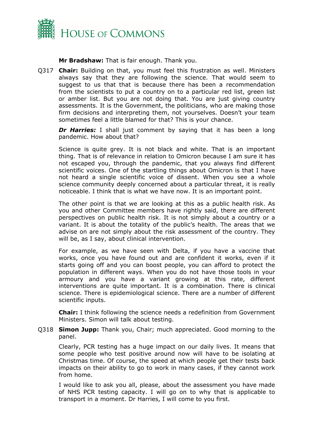

**Mr Bradshaw:** That is fair enough. Thank you.

Q317 **Chair:** Building on that, you must feel this frustration as well. Ministers always say that they are following the science. That would seem to suggest to us that that is because there has been a recommendation from the scientists to put a country on to a particular red list, green list or amber list. But you are not doing that. You are just giving country assessments. It is the Government, the politicians, who are making those firm decisions and interpreting them, not yourselves. Doesn't your team sometimes feel a little blamed for that? This is your chance.

**Dr Harries:** I shall just comment by saying that it has been a long pandemic. How about that?

Science is quite grey. It is not black and white. That is an important thing. That is of relevance in relation to Omicron because I am sure it has not escaped you, through the pandemic, that you always find different scientific voices. One of the startling things about Omicron is that I have not heard a single scientific voice of dissent. When you see a whole science community deeply concerned about a particular threat, it is really noticeable. I think that is what we have now. It is an important point.

The other point is that we are looking at this as a public health risk. As you and other Committee members have rightly said, there are different perspectives on public health risk. It is not simply about a country or a variant. It is about the totality of the public's health. The areas that we advise on are not simply about the risk assessment of the country. They will be, as I say, about clinical intervention.

For example, as we have seen with Delta, if you have a vaccine that works, once you have found out and are confident it works, even if it starts going off and you can boost people, you can afford to protect the population in different ways. When you do not have those tools in your armoury and you have a variant growing at this rate, different interventions are quite important. It is a combination. There is clinical science. There is epidemiological science. There are a number of different scientific inputs.

**Chair:** I think following the science needs a redefinition from Government Ministers. Simon will talk about testing.

Q318 **Simon Jupp:** Thank you, Chair; much appreciated. Good morning to the panel.

Clearly, PCR testing has a huge impact on our daily lives. It means that some people who test positive around now will have to be isolating at Christmas time. Of course, the speed at which people get their tests back impacts on their ability to go to work in many cases, if they cannot work from home.

I would like to ask you all, please, about the assessment you have made of NHS PCR testing capacity. I will go on to why that is applicable to transport in a moment. Dr Harries, I will come to you first.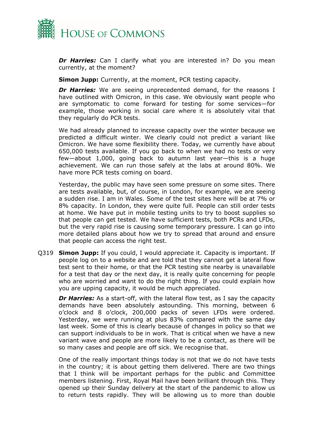

*Dr Harries:* Can I clarify what you are interested in? Do you mean currently, at the moment?

**Simon Jupp:** Currently, at the moment, PCR testing capacity.

*Dr Harries:* We are seeing unprecedented demand, for the reasons I have outlined with Omicron, in this case. We obviously want people who are symptomatic to come forward for testing for some services—for example, those working in social care where it is absolutely vital that they regularly do PCR tests.

We had already planned to increase capacity over the winter because we predicted a difficult winter. We clearly could not predict a variant like Omicron. We have some flexibility there. Today, we currently have about 650,000 tests available. If you go back to when we had no tests or very few—about 1,000, going back to autumn last year—this is a huge achievement. We can run those safely at the labs at around 80%. We have more PCR tests coming on board.

Yesterday, the public may have seen some pressure on some sites. There are tests available, but, of course, in London, for example, we are seeing a sudden rise. I am in Wales. Some of the test sites here will be at 7% or 8% capacity. In London, they were quite full. People can still order tests at home. We have put in mobile testing units to try to boost supplies so that people can get tested. We have sufficient tests, both PCRs and LFDs, but the very rapid rise is causing some temporary pressure. I can go into more detailed plans about how we try to spread that around and ensure that people can access the right test.

Q319 **Simon Jupp:** If you could, I would appreciate it. Capacity is important. If people log on to a website and are told that they cannot get a lateral flow test sent to their home, or that the PCR testing site nearby is unavailable for a test that day or the next day, it is really quite concerning for people who are worried and want to do the right thing. If you could explain how you are upping capacity, it would be much appreciated.

*Dr Harries:* As a start-off, with the lateral flow test, as I say the capacity demands have been absolutely astounding. This morning, between 6 o'clock and 8 o'clock, 200,000 packs of seven LFDs were ordered. Yesterday, we were running at plus 83% compared with the same day last week. Some of this is clearly because of changes in policy so that we can support individuals to be in work. That is critical when we have a new variant wave and people are more likely to be a contact, as there will be so many cases and people are off sick. We recognise that.

One of the really important things today is not that we do not have tests in the country; it is about getting them delivered. There are two things that I think will be important perhaps for the public and Committee members listening. First, Royal Mail have been brilliant through this. They opened up their Sunday delivery at the start of the pandemic to allow us to return tests rapidly. They will be allowing us to more than double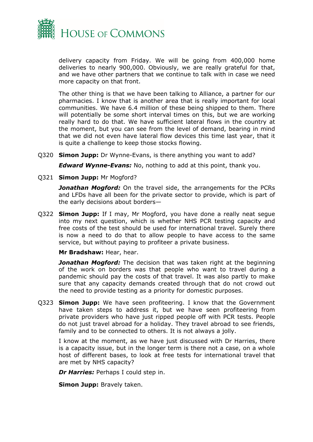

delivery capacity from Friday. We will be going from 400,000 home deliveries to nearly 900,000. Obviously, we are really grateful for that, and we have other partners that we continue to talk with in case we need more capacity on that front.

The other thing is that we have been talking to Alliance, a partner for our pharmacies. I know that is another area that is really important for local communities. We have 6.4 million of these being shipped to them. There will potentially be some short interval times on this, but we are working really hard to do that. We have sufficient lateral flows in the country at the moment, but you can see from the level of demand, bearing in mind that we did not even have lateral flow devices this time last year, that it is quite a challenge to keep those stocks flowing.

Q320 **Simon Jupp:** Dr Wynne-Evans, is there anything you want to add?

*Edward Wynne-Evans:* No, nothing to add at this point, thank you.

Q321 **Simon Jupp:** Mr Mogford?

*Jonathan Mogford:* On the travel side, the arrangements for the PCRs and LFDs have all been for the private sector to provide, which is part of the early decisions about borders—

Q322 **Simon Jupp:** If I may, Mr Mogford, you have done a really neat segue into my next question, which is whether NHS PCR testing capacity and free costs of the test should be used for international travel. Surely there is now a need to do that to allow people to have access to the same service, but without paying to profiteer a private business.

**Mr Bradshaw:** Hear, hear.

*Jonathan Mogford:* The decision that was taken right at the beginning of the work on borders was that people who want to travel during a pandemic should pay the costs of that travel. It was also partly to make sure that any capacity demands created through that do not crowd out the need to provide testing as a priority for domestic purposes.

Q323 **Simon Jupp:** We have seen profiteering. I know that the Government have taken steps to address it, but we have seen profiteering from private providers who have just ripped people off with PCR tests. People do not just travel abroad for a holiday. They travel abroad to see friends, family and to be connected to others. It is not always a jolly.

I know at the moment, as we have just discussed with Dr Harries, there is a capacity issue, but in the longer term is there not a case, on a whole host of different bases, to look at free tests for international travel that are met by NHS capacity?

*Dr Harries: Perhaps I could step in.* 

**Simon Jupp:** Bravely taken.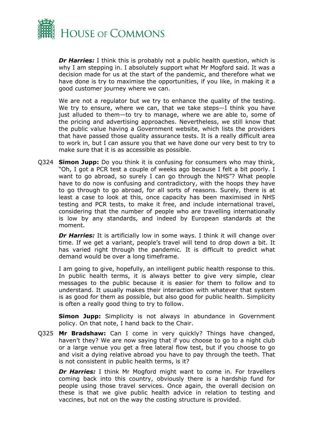

*Dr Harries:* I think this is probably not a public health question, which is why I am stepping in. I absolutely support what Mr Mogford said. It was a decision made for us at the start of the pandemic, and therefore what we have done is try to maximise the opportunities, if you like, in making it a good customer journey where we can.

We are not a regulator but we try to enhance the quality of the testing. We try to ensure, where we can, that we take steps—I think you have just alluded to them—to try to manage, where we are able to, some of the pricing and advertising approaches. Nevertheless, we still know that the public value having a Government website, which lists the providers that have passed those quality assurance tests. It is a really difficult area to work in, but I can assure you that we have done our very best to try to make sure that it is as accessible as possible.

Q324 **Simon Jupp:** Do you think it is confusing for consumers who may think, "Oh, I got a PCR test a couple of weeks ago because I felt a bit poorly. I want to go abroad, so surely I can go through the NHS"? What people have to do now is confusing and contradictory, with the hoops they have to go through to go abroad, for all sorts of reasons. Surely, there is at least a case to look at this, once capacity has been maximised in NHS testing and PCR tests, to make it free, and include international travel, considering that the number of people who are travelling internationally is low by any standards, and indeed by European standards at the moment.

**Dr Harries:** It is artificially low in some ways. I think it will change over time. If we get a variant, people's travel will tend to drop down a bit. It has varied right through the pandemic. It is difficult to predict what demand would be over a long timeframe.

I am going to give, hopefully, an intelligent public health response to this. In public health terms, it is always better to give very simple, clear messages to the public because it is easier for them to follow and to understand. It usually makes their interaction with whatever that system is as good for them as possible, but also good for public health. Simplicity is often a really good thing to try to follow.

**Simon Jupp:** Simplicity is not always in abundance in Government policy. On that note, I hand back to the Chair.

Q325 **Mr Bradshaw:** Can I come in very quickly? Things have changed, haven't they? We are now saying that if you choose to go to a night club or a large venue you get a free lateral flow test, but if you choose to go and visit a dying relative abroad you have to pay through the teeth. That is not consistent in public health terms, is it?

*Dr Harries:* I think Mr Mogford might want to come in. For travellers coming back into this country, obviously there is a hardship fund for people using those travel services. Once again, the overall decision on these is that we give public health advice in relation to testing and vaccines, but not on the way the costing structure is provided.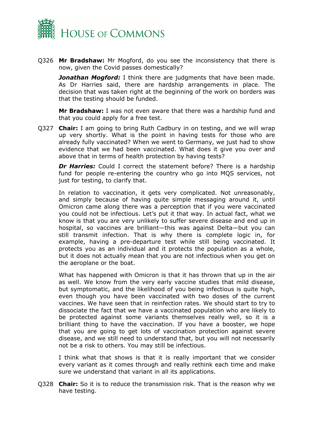

Q326 **Mr Bradshaw:** Mr Mogford, do you see the inconsistency that there is now, given the Covid passes domestically?

*Jonathan Mogford:* I think there are judgments that have been made. As Dr Harries said, there are hardship arrangements in place. The decision that was taken right at the beginning of the work on borders was that the testing should be funded.

**Mr Bradshaw:** I was not even aware that there was a hardship fund and that you could apply for a free test.

Q327 **Chair:** I am going to bring Ruth Cadbury in on testing, and we will wrap up very shortly. What is the point in having tests for those who are already fully vaccinated? When we went to Germany, we just had to show evidence that we had been vaccinated. What does it give you over and above that in terms of health protection by having tests?

*Dr Harries:* Could I correct the statement before? There is a hardship fund for people re-entering the country who go into MQS services, not just for testing, to clarify that.

In relation to vaccination, it gets very complicated. Not unreasonably, and simply because of having quite simple messaging around it, until Omicron came along there was a perception that if you were vaccinated you could not be infectious. Let's put it that way. In actual fact, what we know is that you are very unlikely to suffer severe disease and end up in hospital, so vaccines are brilliant—this was against Delta—but you can still transmit infection. That is why there is complete logic in, for example, having a pre-departure test while still being vaccinated. It protects you as an individual and it protects the population as a whole, but it does not actually mean that you are not infectious when you get on the aeroplane or the boat.

What has happened with Omicron is that it has thrown that up in the air as well. We know from the very early vaccine studies that mild disease, but symptomatic, and the likelihood of you being infectious is quite high, even though you have been vaccinated with two doses of the current vaccines. We have seen that in reinfection rates. We should start to try to dissociate the fact that we have a vaccinated population who are likely to be protected against some variants themselves really well, so it is a brilliant thing to have the vaccination. If you have a booster, we hope that you are going to get lots of vaccination protection against severe disease, and we still need to understand that, but you will not necessarily not be a risk to others. You may still be infectious.

I think what that shows is that it is really important that we consider every variant as it comes through and really rethink each time and make sure we understand that variant in all its applications.

Q328 **Chair:** So it is to reduce the transmission risk. That is the reason why we have testing.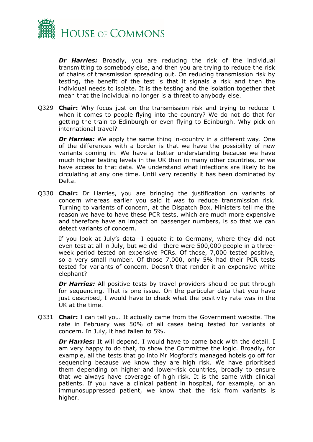

*Dr Harries:* Broadly, you are reducing the risk of the individual transmitting to somebody else, and then you are trying to reduce the risk of chains of transmission spreading out. On reducing transmission risk by testing, the benefit of the test is that it signals a risk and then the individual needs to isolate. It is the testing and the isolation together that mean that the individual no longer is a threat to anybody else.

Q329 **Chair:** Why focus just on the transmission risk and trying to reduce it when it comes to people flying into the country? We do not do that for getting the train to Edinburgh or even flying to Edinburgh. Why pick on international travel?

**Dr Harries:** We apply the same thing in-country in a different way. One of the differences with a border is that we have the possibility of new variants coming in. We have a better understanding because we have much higher testing levels in the UK than in many other countries, or we have access to that data. We understand what infections are likely to be circulating at any one time. Until very recently it has been dominated by Delta.

Q330 **Chair:** Dr Harries, you are bringing the justification on variants of concern whereas earlier you said it was to reduce transmission risk. Turning to variants of concern, at the Dispatch Box, Ministers tell me the reason we have to have these PCR tests, which are much more expensive and therefore have an impact on passenger numbers, is so that we can detect variants of concern.

If you look at July's data—I equate it to Germany, where they did not even test at all in July, but we did—there were 500,000 people in a threeweek period tested on expensive PCRs. Of those, 7,000 tested positive, so a very small number. Of those 7,000, only 5% had their PCR tests tested for variants of concern. Doesn't that render it an expensive white elephant?

**Dr Harries:** All positive tests by travel providers should be put through for sequencing. That is one issue. On the particular data that you have just described, I would have to check what the positivity rate was in the UK at the time.

Q331 **Chair:** I can tell you. It actually came from the Government website. The rate in February was 50% of all cases being tested for variants of concern. In July, it had fallen to 5%.

**Dr Harries:** It will depend. I would have to come back with the detail. I am very happy to do that, to show the Committee the logic. Broadly, for example, all the tests that go into Mr Mogford's managed hotels go off for sequencing because we know they are high risk. We have prioritised them depending on higher and lower-risk countries, broadly to ensure that we always have coverage of high risk. It is the same with clinical patients. If you have a clinical patient in hospital, for example, or an immunosuppressed patient, we know that the risk from variants is higher.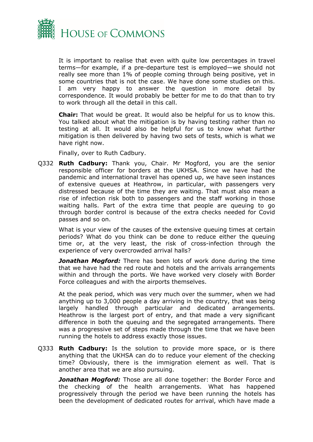

It is important to realise that even with quite low percentages in travel terms—for example, if a pre-departure test is employed—we should not really see more than 1% of people coming through being positive, yet in some countries that is not the case. We have done some studies on this. I am very happy to answer the question in more detail by correspondence. It would probably be better for me to do that than to try to work through all the detail in this call.

**Chair:** That would be great. It would also be helpful for us to know this. You talked about what the mitigation is by having testing rather than no testing at all. It would also be helpful for us to know what further mitigation is then delivered by having two sets of tests, which is what we have right now.

Finally, over to Ruth Cadbury.

Q332 **Ruth Cadbury:** Thank you, Chair. Mr Mogford, you are the senior responsible officer for borders at the UKHSA. Since we have had the pandemic and international travel has opened up, we have seen instances of extensive queues at Heathrow, in particular, with passengers very distressed because of the time they are waiting. That must also mean a rise of infection risk both to passengers and the staff working in those waiting halls. Part of the extra time that people are queuing to go through border control is because of the extra checks needed for Covid passes and so on.

What is your view of the causes of the extensive queuing times at certain periods? What do you think can be done to reduce either the queuing time or, at the very least, the risk of cross-infection through the experience of very overcrowded arrival halls?

*Jonathan Mogford:* There has been lots of work done during the time that we have had the red route and hotels and the arrivals arrangements within and through the ports. We have worked very closely with Border Force colleagues and with the airports themselves.

At the peak period, which was very much over the summer, when we had anything up to 3,000 people a day arriving in the country, that was being largely handled through particular and dedicated arrangements. Heathrow is the largest port of entry, and that made a very significant difference in both the queuing and the segregated arrangements. There was a progressive set of steps made through the time that we have been running the hotels to address exactly those issues.

Q333 **Ruth Cadbury:** Is the solution to provide more space, or is there anything that the UKHSA can do to reduce your element of the checking time? Obviously, there is the immigration element as well. That is another area that we are also pursuing.

*Jonathan Mogford:* Those are all done together: the Border Force and the checking of the health arrangements. What has happened progressively through the period we have been running the hotels has been the development of dedicated routes for arrival, which have made a